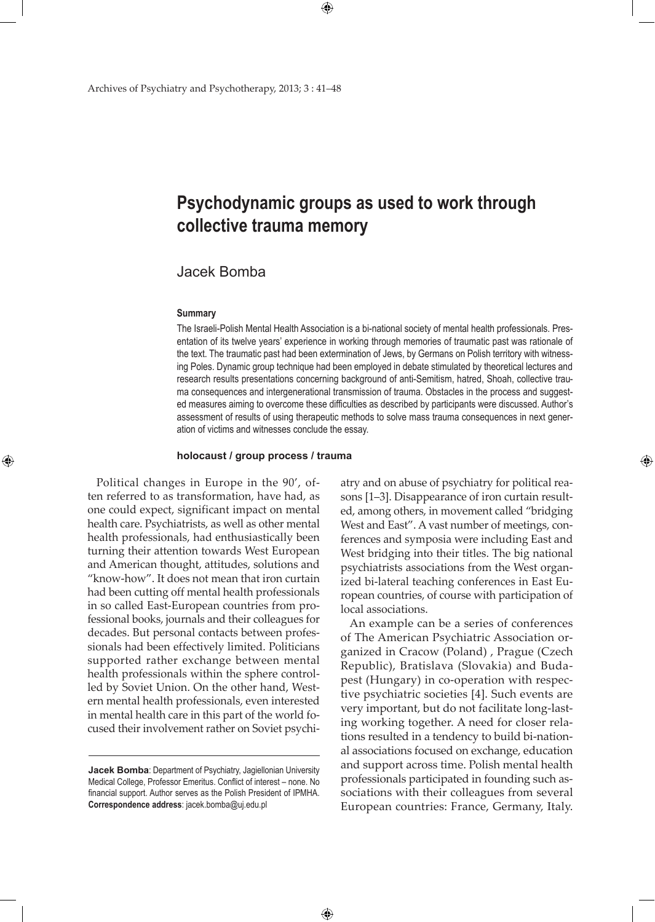# **Psychodynamic groups as used to work through collective trauma memory**

## Jacek Bomba

#### **Summary**

⊕

The Israeli-Polish Mental Health Association is a bi-national society of mental health professionals. Presentation of its twelve years' experience in working through memories of traumatic past was rationale of the text. The traumatic past had been extermination of Jews, by Germans on Polish territory with witnessing Poles. Dynamic group technique had been employed in debate stimulated by theoretical lectures and research results presentations concerning background of anti-Semitism, hatred, Shoah, collective trauma consequences and intergenerational transmission of trauma. Obstacles in the process and suggested measures aiming to overcome these difficulties as described by participants were discussed. Author's assessment of results of using therapeutic methods to solve mass trauma consequences in next generation of victims and witnesses conclude the essay.

#### **holocaust / group process / trauma**

Political changes in Europe in the 90', often referred to as transformation, have had, as one could expect, significant impact on mental health care. Psychiatrists, as well as other mental health professionals, had enthusiastically been turning their attention towards West European and American thought, attitudes, solutions and "know-how". It does not mean that iron curtain had been cutting off mental health professionals in so called East-European countries from professional books, journals and their colleagues for decades. But personal contacts between professionals had been effectively limited. Politicians supported rather exchange between mental health professionals within the sphere controlled by Soviet Union. On the other hand, Western mental health professionals, even interested in mental health care in this part of the world focused their involvement rather on Soviet psychi-

 $\bigoplus$ 

atry and on abuse of psychiatry for political reasons [1–3]. Disappearance of iron curtain resulted, among others, in movement called "bridging West and East". A vast number of meetings, conferences and symposia were including East and West bridging into their titles. The big national psychiatrists associations from the West organized bi-lateral teaching conferences in East European countries, of course with participation of local associations.

An example can be a series of conferences of The American Psychiatric Association organized in Cracow (Poland) , Prague (Czech Republic), Bratislava (Slovakia) and Budapest (Hungary) in co-operation with respective psychiatric societies [4]. Such events are very important, but do not facilitate long-lasting working together. A need for closer relations resulted in a tendency to build bi-national associations focused on exchange, education and support across time. Polish mental health professionals participated in founding such associations with their colleagues from several European countries: France, Germany, Italy.

**Jacek Bomba**: Department of Psychiatry, Jagiellonian University Medical College, Professor Emeritus. Conflict of interest – none. No financial support. Author serves as the Polish President of IPMHA. **Correspondence address**: jacek.bomba@uj.edu.pl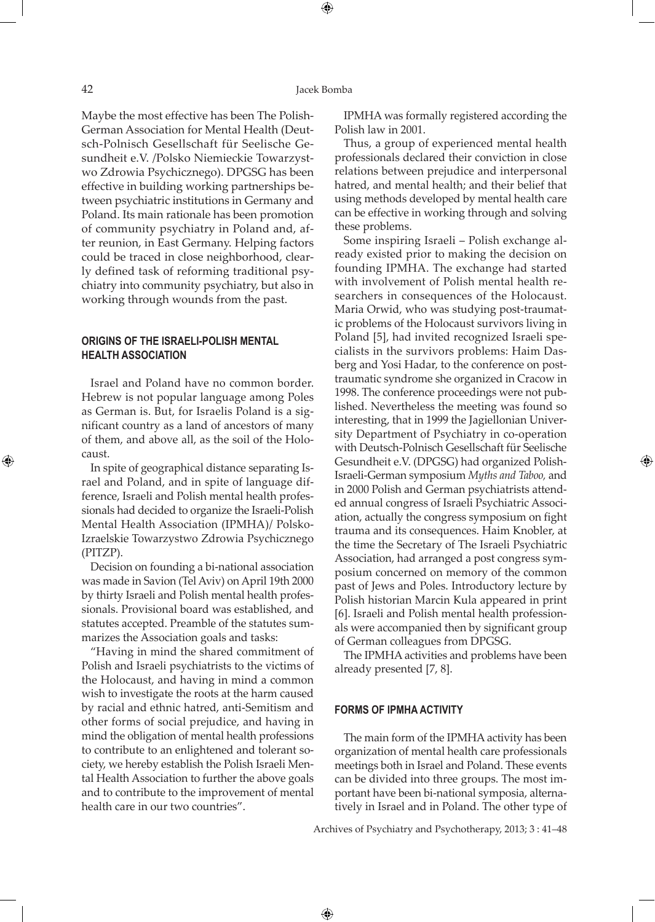⊕

Maybe the most effective has been The Polish-German Association for Mental Health (Deutsch-Polnisch Gesellschaft für Seelische Gesundheit e.V. /Polsko Niemieckie Towarzystwo Zdrowia Psychicznego). DPGSG has been effective in building working partnerships between psychiatric institutions in Germany and Poland. Its main rationale has been promotion of community psychiatry in Poland and, after reunion, in East Germany. Helping factors could be traced in close neighborhood, clearly defined task of reforming traditional psychiatry into community psychiatry, but also in working through wounds from the past.

## **ORIGINS OF THE ISRAELI-POLISH MENTAL HEALTH ASSOCIATION**

Israel and Poland have no common border. Hebrew is not popular language among Poles as German is. But, for Israelis Poland is a significant country as a land of ancestors of many of them, and above all, as the soil of the Holocaust.

In spite of geographical distance separating Israel and Poland, and in spite of language difference, Israeli and Polish mental health professionals had decided to organize the Israeli-Polish Mental Health Association (IPMHA)/ Polsko-Izraelskie Towarzystwo Zdrowia Psychicznego (PITZP).

Decision on founding a bi-national association was made in Savion (Tel Aviv) on April 19th 2000 by thirty Israeli and Polish mental health professionals. Provisional board was established, and statutes accepted. Preamble of the statutes summarizes the Association goals and tasks:

"Having in mind the shared commitment of Polish and Israeli psychiatrists to the victims of the Holocaust, and having in mind a common wish to investigate the roots at the harm caused by racial and ethnic hatred, anti-Semitism and other forms of social prejudice, and having in mind the obligation of mental health professions to contribute to an enlightened and tolerant society, we hereby establish the Polish Israeli Mental Health Association to further the above goals and to contribute to the improvement of mental health care in our two countries".

IPMHA was formally registered according the Polish law in 2001.

Thus, a group of experienced mental health professionals declared their conviction in close relations between prejudice and interpersonal hatred, and mental health; and their belief that using methods developed by mental health care can be effective in working through and solving these problems.

Some inspiring Israeli – Polish exchange already existed prior to making the decision on founding IPMHA. The exchange had started with involvement of Polish mental health researchers in consequences of the Holocaust. Maria Orwid, who was studying post-traumatic problems of the Holocaust survivors living in Poland [5], had invited recognized Israeli specialists in the survivors problems: Haim Dasberg and Yosi Hadar, to the conference on posttraumatic syndrome she organized in Cracow in 1998. The conference proceedings were not published. Nevertheless the meeting was found so interesting, that in 1999 the Jagiellonian University Department of Psychiatry in co-operation with Deutsch-Polnisch Gesellschaft für Seelische Gesundheit e.V. (DPGSG) had organized Polish-Israeli-German symposium *Myths and Taboo,* and in 2000 Polish and German psychiatrists attended annual congress of Israeli Psychiatric Association, actually the congress symposium on fight trauma and its consequences. Haim Knobler, at the time the Secretary of The Israeli Psychiatric Association, had arranged a post congress symposium concerned on memory of the common past of Jews and Poles. Introductory lecture by Polish historian Marcin Kula appeared in print [6]. Israeli and Polish mental health professionals were accompanied then by significant group of German colleagues from DPGSG.

⊕

The IPMHA activities and problems have been already presented [7, 8].

#### **FORMS OF IPMHA ACTIVITY**

 $\bigoplus$ 

The main form of the IPMHA activity has been organization of mental health care professionals meetings both in Israel and Poland. These events can be divided into three groups. The most important have been bi-national symposia, alternatively in Israel and in Poland. The other type of

Archives of Psychiatry and Psychotherapy, 2013; 3 : 41–48

⊕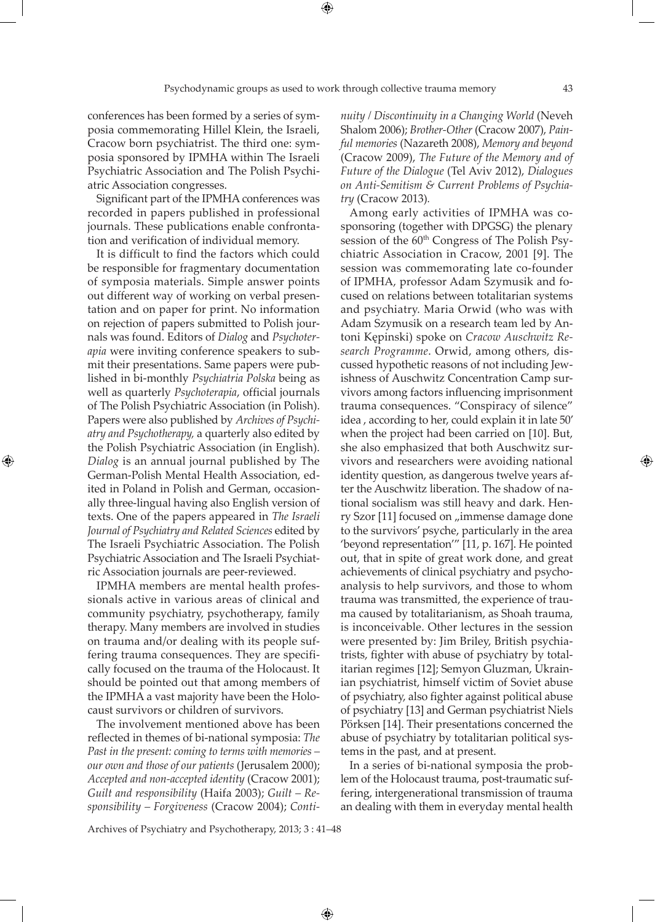conferences has been formed by a series of symposia commemorating Hillel Klein, the Israeli, Cracow born psychiatrist. The third one: symposia sponsored by IPMHA within The Israeli Psychiatric Association and The Polish Psychiatric Association congresses.

Significant part of the IPMHA conferences was recorded in papers published in professional journals. These publications enable confrontation and verification of individual memory.

It is difficult to find the factors which could be responsible for fragmentary documentation of symposia materials. Simple answer points out different way of working on verbal presentation and on paper for print. No information on rejection of papers submitted to Polish journals was found. Editors of *Dialog* and *Psychoterapia* were inviting conference speakers to submit their presentations. Same papers were published in bi-monthly *Psychiatria Polska* being as well as quarterly *Psychoterapia*, official journals of The Polish Psychiatric Association (in Polish). Papers were also published by *Archives of Psychiatry and Psychotherapy,* a quarterly also edited by the Polish Psychiatric Association (in English). *Dialog* is an annual journal published by The German-Polish Mental Health Association, edited in Poland in Polish and German, occasionally three-lingual having also English version of texts. One of the papers appeared in *The Israeli Journal of Psychiatry and Related Sciences* edited by The Israeli Psychiatric Association. The Polish Psychiatric Association and The Israeli Psychiatric Association journals are peer-reviewed.

⊕

IPMHA members are mental health professionals active in various areas of clinical and community psychiatry, psychotherapy, family therapy. Many members are involved in studies on trauma and/or dealing with its people suffering trauma consequences. They are specifically focused on the trauma of the Holocaust. It should be pointed out that among members of the IPMHA a vast majority have been the Holocaust survivors or children of survivors.

The involvement mentioned above has been reflected in themes of bi-national symposia: *The Past in the present: coming to terms with memories – our own and those of our patients* (Jerusalem 2000); *Accepted and non-accepted identity* (Cracow 2001); *Guilt and responsibility* (Haifa 2003); *Guilt – Responsibility – Forgiveness* (Cracow 2004); *Conti-*

*nuity / Discontinuity in a Changing World* (Neveh Shalom 2006); *Brother-Other* (Cracow 2007), *Painful memories* (Nazareth 2008), *Memory and beyond* (Cracow 2009), *The Future of the Memory and of Future of the Dialogue* (Tel Aviv 2012), *Dialogues on Anti-Semitism & Current Problems of Psychiatry* (Cracow 2013)*.*

Among early activities of IPMHA was cosponsoring (together with DPGSG) the plenary session of the 60<sup>th</sup> Congress of The Polish Psychiatric Association in Cracow, 2001 [9]. The session was commemorating late co-founder of IPMHA, professor Adam Szymusik and focused on relations between totalitarian systems and psychiatry. Maria Orwid (who was with Adam Szymusik on a research team led by Antoni Kępinski) spoke on *Cracow Auschwitz Research Programme*. Orwid, among others, discussed hypothetic reasons of not including Jewishness of Auschwitz Concentration Camp survivors among factors influencing imprisonment trauma consequences. "Conspiracy of silence" idea , according to her, could explain it in late 50' when the project had been carried on [10]. But, she also emphasized that both Auschwitz survivors and researchers were avoiding national identity question, as dangerous twelve years after the Auschwitz liberation. The shadow of national socialism was still heavy and dark. Henry Szor [11] focused on "immense damage done to the survivors' psyche, particularly in the area 'beyond representation'" [11, p. 167]. He pointed out, that in spite of great work done, and great achievements of clinical psychiatry and psychoanalysis to help survivors, and those to whom trauma was transmitted, the experience of trauma caused by totalitarianism, as Shoah trauma, is inconceivable. Other lectures in the session were presented by: Jim Briley, British psychiatrists, fighter with abuse of psychiatry by totalitarian regimes [12]; Semyon Gluzman, Ukrainian psychiatrist, himself victim of Soviet abuse of psychiatry, also fighter against political abuse of psychiatry [13] and German psychiatrist Niels Pörksen [14]. Their presentations concerned the abuse of psychiatry by totalitarian political systems in the past, and at present.

In a series of bi-national symposia the problem of the Holocaust trauma, post-traumatic suffering, intergenerational transmission of trauma an dealing with them in everyday mental health

Archives of Psychiatry and Psychotherapy, 2013; 3 : 41–48

 $\bigoplus$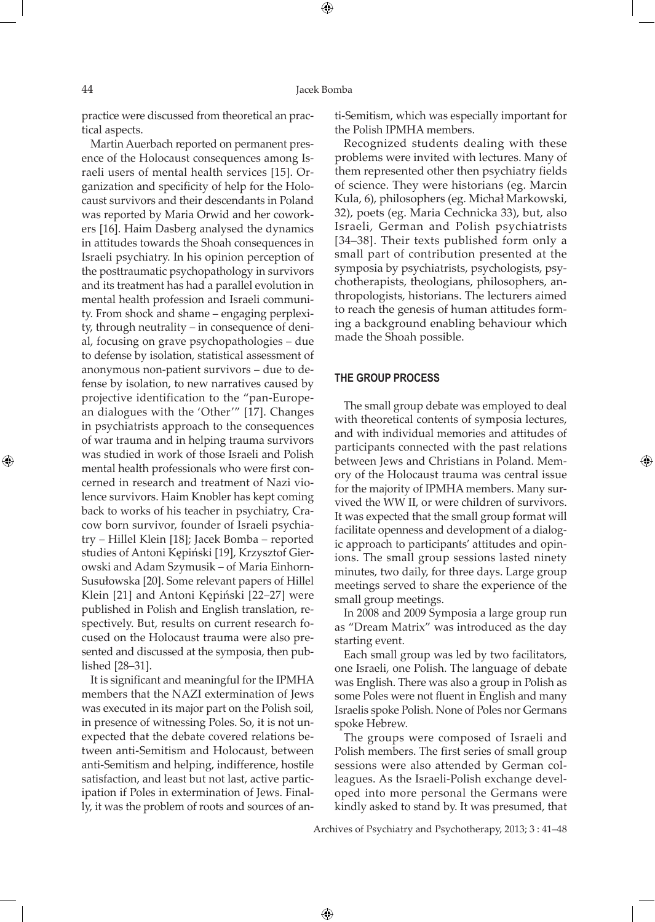⊕

⊕

practice were discussed from theoretical an practical aspects.

Martin Auerbach reported on permanent presence of the Holocaust consequences among Israeli users of mental health services [15]. Organization and specificity of help for the Holocaust survivors and their descendants in Poland was reported by Maria Orwid and her coworkers [16]. Haim Dasberg analysed the dynamics in attitudes towards the Shoah consequences in Israeli psychiatry. In his opinion perception of the posttraumatic psychopathology in survivors and its treatment has had a parallel evolution in mental health profession and Israeli community. From shock and shame – engaging perplexity, through neutrality – in consequence of denial, focusing on grave psychopathologies – due to defense by isolation, statistical assessment of anonymous non-patient survivors – due to defense by isolation, to new narratives caused by projective identification to the "pan-European dialogues with the 'Other'" [17]. Changes in psychiatrists approach to the consequences of war trauma and in helping trauma survivors was studied in work of those Israeli and Polish mental health professionals who were first concerned in research and treatment of Nazi violence survivors. Haim Knobler has kept coming back to works of his teacher in psychiatry, Cracow born survivor, founder of Israeli psychiatry – Hillel Klein [18]; Jacek Bomba – reported studies of Antoni Kępiński [19], Krzysztof Gierowski and Adam Szymusik – of Maria Einhorn-Susułowska [20]. Some relevant papers of Hillel Klein [21] and Antoni Kępiński [22–27] were published in Polish and English translation, respectively. But, results on current research focused on the Holocaust trauma were also presented and discussed at the symposia, then published [28–31].

It is significant and meaningful for the IPMHA members that the NAZI extermination of Jews was executed in its major part on the Polish soil, in presence of witnessing Poles. So, it is not unexpected that the debate covered relations between anti-Semitism and Holocaust, between anti-Semitism and helping, indifference, hostile satisfaction, and least but not last, active participation if Poles in extermination of Jews. Finally, it was the problem of roots and sources of anti-Semitism, which was especially important for the Polish IPMHA members.

Recognized students dealing with these problems were invited with lectures. Many of them represented other then psychiatry fields of science. They were historians (eg. Marcin Kula, 6), philosophers (eg. Michał Markowski, 32), poets (eg. Maria Cechnicka 33), but, also Israeli, German and Polish psychiatrists [34–38]. Their texts published form only a small part of contribution presented at the symposia by psychiatrists, psychologists, psychotherapists, theologians, philosophers, anthropologists, historians. The lecturers aimed to reach the genesis of human attitudes forming a background enabling behaviour which made the Shoah possible.

#### **THE GROUP PROCESS**

The small group debate was employed to deal with theoretical contents of symposia lectures, and with individual memories and attitudes of participants connected with the past relations between Jews and Christians in Poland. Memory of the Holocaust trauma was central issue for the majority of IPMHA members. Many survived the WW II, or were children of survivors. It was expected that the small group format will facilitate openness and development of a dialogic approach to participants' attitudes and opinions. The small group sessions lasted ninety minutes, two daily, for three days. Large group meetings served to share the experience of the small group meetings.

⊕

In 2008 and 2009 Symposia a large group run as "Dream Matrix" was introduced as the day starting event.

Each small group was led by two facilitators, one Israeli, one Polish. The language of debate was English. There was also a group in Polish as some Poles were not fluent in English and many Israelis spoke Polish. None of Poles nor Germans spoke Hebrew.

The groups were composed of Israeli and Polish members. The first series of small group sessions were also attended by German colleagues. As the Israeli-Polish exchange developed into more personal the Germans were kindly asked to stand by. It was presumed, that

Archives of Psychiatry and Psychotherapy, 2013; 3 : 41–48

 $\bigoplus$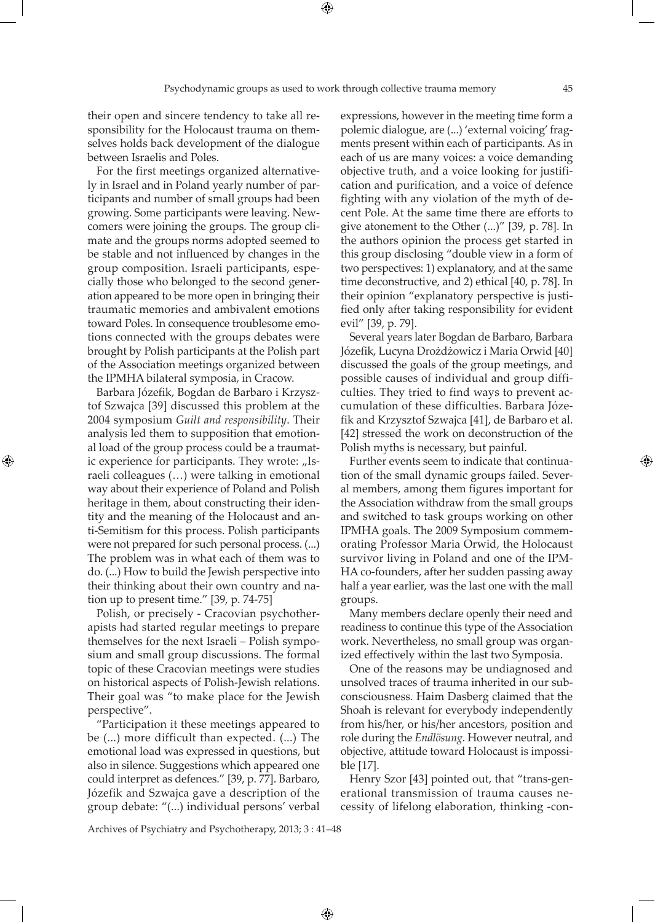their open and sincere tendency to take all responsibility for the Holocaust trauma on themselves holds back development of the dialogue between Israelis and Poles.

For the first meetings organized alternatively in Israel and in Poland yearly number of participants and number of small groups had been growing. Some participants were leaving. Newcomers were joining the groups. The group climate and the groups norms adopted seemed to be stable and not influenced by changes in the group composition. Israeli participants, especially those who belonged to the second generation appeared to be more open in bringing their traumatic memories and ambivalent emotions toward Poles. In consequence troublesome emotions connected with the groups debates were brought by Polish participants at the Polish part of the Association meetings organized between the IPMHA bilateral symposia, in Cracow.

Barbara Józefik, Bogdan de Barbaro i Krzysztof Szwajca [39] discussed this problem at the 2004 symposium *Guilt and responsibility*. Their analysis led them to supposition that emotional load of the group process could be a traumatic experience for participants. They wrote: "Israeli colleagues (…) were talking in emotional way about their experience of Poland and Polish heritage in them, about constructing their identity and the meaning of the Holocaust and anti-Semitism for this process. Polish participants were not prepared for such personal process. (...) The problem was in what each of them was to do. (...) How to build the Jewish perspective into their thinking about their own country and nation up to present time." [39, p. 74-75]

⊕

Polish, or precisely - Cracovian psychotherapists had started regular meetings to prepare themselves for the next Israeli – Polish symposium and small group discussions. The formal topic of these Cracovian meetings were studies on historical aspects of Polish-Jewish relations. Their goal was "to make place for the Jewish perspective".

"Participation it these meetings appeared to be (...) more difficult than expected. (...) The emotional load was expressed in questions, but also in silence. Suggestions which appeared one could interpret as defences." [39, p. 77]. Barbaro, Józefik and Szwajca gave a description of the group debate: "(...) individual persons' verbal

expressions, however in the meeting time form a polemic dialogue, are (...) 'external voicing' fragments present within each of participants. As in each of us are many voices: a voice demanding objective truth, and a voice looking for justification and purification, and a voice of defence fighting with any violation of the myth of decent Pole. At the same time there are efforts to give atonement to the Other (...)" [39, p. 78]. In the authors opinion the process get started in this group disclosing "double view in a form of two perspectives: 1) explanatory, and at the same time deconstructive, and 2) ethical [40, p. 78]. In their opinion "explanatory perspective is justified only after taking responsibility for evident evil" [39, p. 79].

Several years later Bogdan de Barbaro, Barbara Józefik, Lucyna Drożdżowicz i Maria Orwid [40] discussed the goals of the group meetings, and possible causes of individual and group difficulties. They tried to find ways to prevent accumulation of these difficulties. Barbara Józefik and Krzysztof Szwajca [41], de Barbaro et al. [42] stressed the work on deconstruction of the Polish myths is necessary, but painful.

Further events seem to indicate that continuation of the small dynamic groups failed. Several members, among them figures important for the Association withdraw from the small groups and switched to task groups working on other IPMHA goals. The 2009 Symposium commemorating Professor Maria Orwid, the Holocaust survivor living in Poland and one of the IPM-HA co-founders, after her sudden passing away half a year earlier, was the last one with the mall groups.

Many members declare openly their need and readiness to continue this type of the Association work. Nevertheless, no small group was organized effectively within the last two Symposia.

One of the reasons may be undiagnosed and unsolved traces of trauma inherited in our subconsciousness. Haim Dasberg claimed that the Shoah is relevant for everybody independently from his/her, or his/her ancestors, position and role during the *Endlösung*. However neutral, and objective, attitude toward Holocaust is impossible [17].

Henry Szor [43] pointed out, that "trans-generational transmission of trauma causes necessity of lifelong elaboration, thinking -con-

Archives of Psychiatry and Psychotherapy, 2013; 3 : 41–48

 $\bigoplus$ 

⊕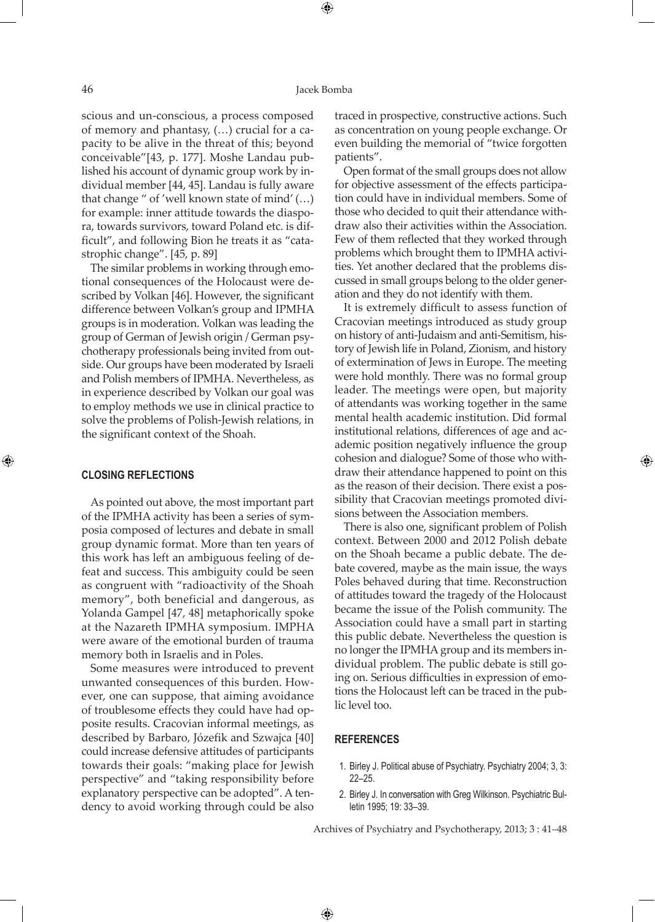⊕

scious and un-conscious, a process composed of memory and phantasy, (…) crucial for a capacity to be alive in the threat of this; beyond conceivable"[43, p. 177]. Moshe Landau published his account of dynamic group work by individual member [44, 45]. Landau is fully aware that change " of 'well known state of mind' (…) for example: inner attitude towards the diaspora, towards survivors, toward Poland etc. is difficult", and following Bion he treats it as "catastrophic change". [45, p. 89]

The similar problems in working through emotional consequences of the Holocaust were described by Volkan [46]. However, the significant difference between Volkan's group and IPMHA groups is in moderation. Volkan was leading the group of German of Jewish origin / German psychotherapy professionals being invited from outside. Our groups have been moderated by Israeli and Polish members of IPMHA. Nevertheless, as in experience described by Volkan our goal was to employ methods we use in clinical practice to solve the problems of Polish-Jewish relations, in the significant context of the Shoah.

### **CLOSING REFLECTIONS**

⊕

As pointed out above, the most important part of the IPMHA activity has been a series of symposia composed of lectures and debate in small group dynamic format. More than ten years of this work has left an ambiguous feeling of defeat and success. This ambiguity could be seen as congruent with "radioactivity of the Shoah memory", both beneficial and dangerous, as Yolanda Gampel [47, 48] metaphorically spoke at the Nazareth IPMHA symposium. IMPHA were aware of the emotional burden of trauma memory both in Israelis and in Poles.

Some measures were introduced to prevent unwanted consequences of this burden. However, one can suppose, that aiming avoidance of troublesome effects they could have had opposite results. Cracovian informal meetings, as described by Barbaro, Józefik and Szwajca [40] could increase defensive attitudes of participants towards their goals: "making place for Jewish perspective" and "taking responsibility before explanatory perspective can be adopted". A tendency to avoid working through could be also

traced in prospective, constructive actions. Such as concentration on young people exchange. Or even building the memorial of "twice forgotten patients".

Open format of the small groups does not allow for objective assessment of the effects participation could have in individual members. Some of those who decided to quit their attendance withdraw also their activities within the Association. Few of them reflected that they worked through problems which brought them to IPMHA activities. Yet another declared that the problems discussed in small groups belong to the older generation and they do not identify with them.

It is extremely difficult to assess function of Cracovian meetings introduced as study group on history of anti-Judaism and anti-Semitism, history of Jewish life in Poland, Zionism, and history of extermination of Jews in Europe. The meeting were hold monthly. There was no formal group leader. The meetings were open, but majority of attendants was working together in the same mental health academic institution. Did formal institutional relations, differences of age and academic position negatively influence the group cohesion and dialogue? Some of those who withdraw their attendance happened to point on this as the reason of their decision. There exist a possibility that Cracovian meetings promoted divisions between the Association members.

⊕

There is also one, significant problem of Polish context. Between 2000 and 2012 Polish debate on the Shoah became a public debate. The debate covered, maybe as the main issue, the ways Poles behaved during that time. Reconstruction of attitudes toward the tragedy of the Holocaust became the issue of the Polish community. The Association could have a small part in starting this public debate. Nevertheless the question is no longer the IPMHA group and its members individual problem. The public debate is still going on. Serious difficulties in expression of emotions the Holocaust left can be traced in the public level too.

#### **REFERENCES**

 $\bigoplus$ 

- 1. Birley J. Political abuse of Psychiatry. Psychiatry 2004; 3, 3: 22–25.
- 2. Birley J. In conversation with Greg Wilkinson. Psychiatric Bulletin 1995; 19: 33–39.

Archives of Psychiatry and Psychotherapy, 2013; 3 : 41–48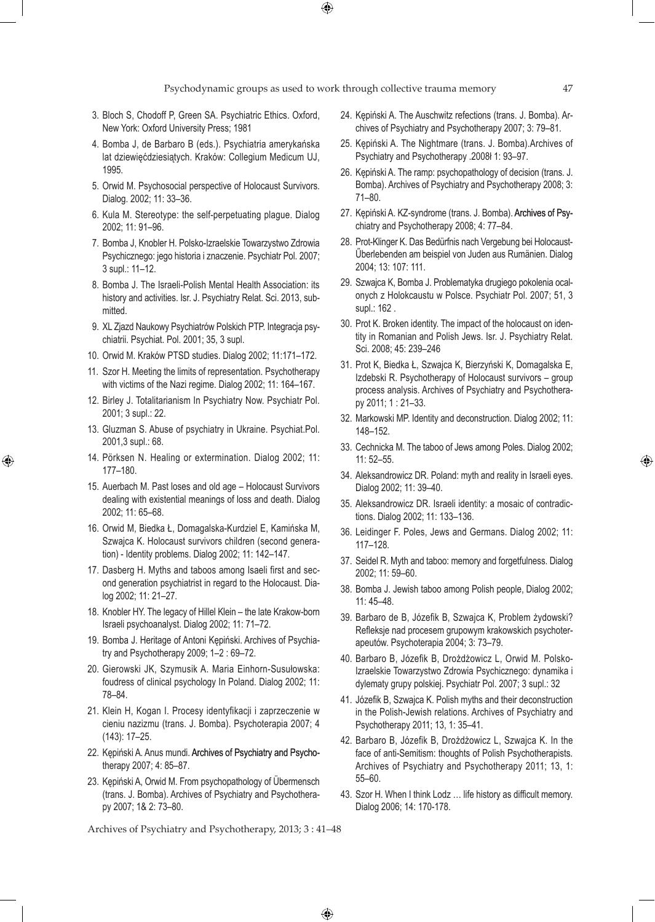$\bigoplus$ 

- 3. Bloch S, Chodoff P, Green SA. Psychiatric Ethics. Oxford, New York: Oxford University Press; 1981
- 4. Bomba J, de Barbaro B (eds.). Psychiatria amerykańska lat dziewięćdziesiątych. Kraków: Collegium Medicum UJ, 1995.
- 5. Orwid M. Psychosocial perspective of Holocaust Survivors. Dialog. 2002; 11: 33–36.
- 6. Kula M. Stereotype: the self-perpetuating plague. Dialog 2002; 11: 91–96.
- 7. Bomba J, Knobler H. Polsko-Izraelskie Towarzystwo Zdrowia Psychicznego: jego historia i znaczenie. Psychiatr Pol. 2007; 3 supl.: 11–12.
- 8. Bomba J. The Israeli-Polish Mental Health Association: its history and activities. Isr. J. Psychiatry Relat. Sci. 2013, submitted.
- 9. XL Zjazd Naukowy Psychiatrów Polskich PTP. Integracja psychiatrii. Psychiat. Pol. 2001; 35, 3 supl.
- 10. Orwid M. Kraków PTSD studies. Dialog 2002; 11:171–172.
- 11. Szor H. Meeting the limits of representation. Psychotherapy with victims of the Nazi regime. Dialog 2002; 11: 164–167.
- 12. Birley J. Totalitarianism In Psychiatry Now. Psychiatr Pol. 2001; 3 supl.: 22.
- 13. Gluzman S. Abuse of psychiatry in Ukraine. Psychiat.Pol. 2001,3 supl.: 68.
- 14. Pörksen N. Healing or extermination. Dialog 2002; 11: 177–180.

⊕

- 15. Auerbach M. Past loses and old age Holocaust Survivors dealing with existential meanings of loss and death. Dialog 2002; 11: 65–68.
- 16. Orwid M, Biedka Ł, Domagalska-Kurdziel E, Kamińska M, Szwajca K. Holocaust survivors children (second generation) - Identity problems. Dialog 2002; 11: 142–147.
- 17. Dasberg H. Myths and taboos among Isaeli first and second generation psychiatrist in regard to the Holocaust. Dialog 2002; 11: 21–27.
- 18. Knobler HY. The legacy of Hillel Klein the late Krakow-born Israeli psychoanalyst. Dialog 2002; 11: 71–72.
- 19. Bomba J. Heritage of Antoni Kępiński. Archives of Psychiatry and Psychotherapy 2009; 1–2 : 69–72.
- 20. Gierowski JK, Szymusik A. Maria Einhorn-Susułowska: foudress of clinical psychology In Poland. Dialog 2002; 11: 78–84.
- 21. Klein H, Kogan I. Procesy identyfikacji i zaprzeczenie w cieniu nazizmu (trans. J. Bomba). Psychoterapia 2007; 4 (143): 17–25.
- 22. Kępiński A. Anus mundi. Archives of Psychiatry and Psychotherapy 2007; 4: 85–87.
- 23. Kępiński A, Orwid M. From psychopathology of Übermensch (trans. J. Bomba). Archives of Psychiatry and Psychotherapy 2007; 1& 2: 73–80.

Archives of Psychiatry and Psychotherapy, 2013; 3 : 41–48

 $\bigoplus$ 

- 24. Kępiński A. The Auschwitz refections (trans. J. Bomba). Archives of Psychiatry and Psychotherapy 2007; 3: 79–81.
- 25. Kępiński A. The Nightmare (trans. J. Bomba).Archives of Psychiatry and Psychotherapy .2008ł 1: 93–97.
- 26. Kępiński A. The ramp: psychopathology of decision (trans. J. Bomba). Archives of Psychiatry and Psychotherapy 2008; 3: 71–80.
- 27. Kępiński A. KZ-syndrome (trans. J. Bomba). Archives of Psychiatry and Psychotherapy 2008; 4: 77–84.
- 28. Prot-Klinger K. Das Bedürfnis nach Vergebung bei Holocaust-Űberlebenden am beispiel von Juden aus Rumänien. Dialog 2004; 13: 107: 111.
- 29. Szwajca K, Bomba J. Problematyka drugiego pokolenia ocalonych z Holokcaustu w Polsce. Psychiatr Pol. 2007; 51, 3 supl.: 162 .
- 30. Prot K. Broken identity. The impact of the holocaust on identity in Romanian and Polish Jews. Isr. J. Psychiatry Relat. Sci. 2008; 45: 239–246
- 31. Prot K, Biedka Ł, Szwajca K, Bierzyński K, Domagalska E, Izdebski R. Psychotherapy of Holocaust survivors – group process analysis. Archives of Psychiatry and Psychotherapy 2011; 1 : 21–33.
- 32. Markowski MP. Identity and deconstruction. Dialog 2002; 11: 148–152.
- 33. Cechnicka M. The taboo of Jews among Poles. Dialog 2002; 11: 52–55.
- 34. Aleksandrowicz DR. Poland: myth and reality in Israeli eyes. Dialog 2002; 11: 39–40.
- 35. Aleksandrowicz DR. Israeli identity: a mosaic of contradictions. Dialog 2002; 11: 133–136.
- 36. Leidinger F. Poles, Jews and Germans. Dialog 2002; 11: 117–128.
- 37. Seidel R. Myth and taboo: memory and forgetfulness. Dialog 2002; 11: 59–60.
- 38. Bomba J. Jewish taboo among Polish people, Dialog 2002; 11: 45–48.
- 39. Barbaro de B, Józefik B, Szwajca K, Problem żydowski? Refleksje nad procesem grupowym krakowskich psychoterapeutów. Psychoterapia 2004; 3: 73–79.
- 40. Barbaro B, Józefik B, Drożdżowicz L, Orwid M. Polsko-Izraelskie Towarzystwo Zdrowia Psychicznego: dynamika i dylematy grupy polskiej. Psychiatr Pol. 2007; 3 supl.: 32
- 41. Józefik B, Szwajca K. Polish myths and their deconstruction in the Polish-Jewish relations. Archives of Psychiatry and Psychotherapy 2011; 13, 1: 35–41.
- 42. Barbaro B, Józefik B, Drożdżowicz L, Szwajca K. In the face of anti-Semitism: thoughts of Polish Psychotherapists. Archives of Psychiatry and Psychotherapy 2011; 13, 1: 55–60.
- 43. Szor H. When I think Lodz … life history as difficult memory. Dialog 2006; 14: 170-178.

⊕